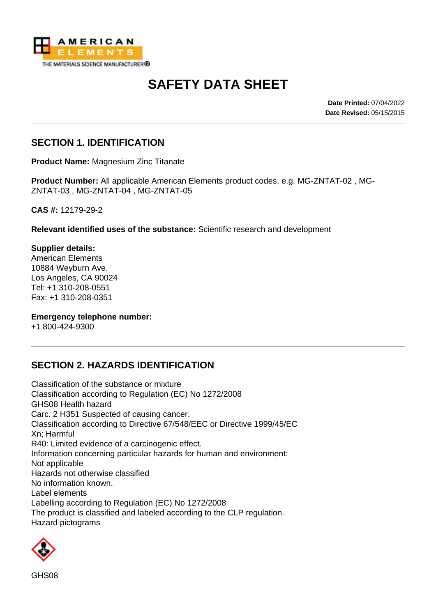

# **SAFETY DATA SHEET**

**Date Printed:** 07/04/2022 **Date Revised:** 05/15/2015

### **SECTION 1. IDENTIFICATION**

**Product Name:** Magnesium Zinc Titanate

**Product Number:** All applicable American Elements product codes, e.g. MG-ZNTAT-02 , MG-ZNTAT-03 , MG-ZNTAT-04 , MG-ZNTAT-05

**CAS #:** 12179-29-2

**Relevant identified uses of the substance:** Scientific research and development

**Supplier details:** American Elements 10884 Weyburn Ave. Los Angeles, CA 90024 Tel: +1 310-208-0551 Fax: +1 310-208-0351

#### **Emergency telephone number:**

+1 800-424-9300

### **SECTION 2. HAZARDS IDENTIFICATION**

Classification of the substance or mixture Classification according to Regulation (EC) No 1272/2008 GHS08 Health hazard Carc. 2 H351 Suspected of causing cancer. Classification according to Directive 67/548/EEC or Directive 1999/45/EC Xn; Harmful R40: Limited evidence of a carcinogenic effect. Information concerning particular hazards for human and environment: Not applicable Hazards not otherwise classified No information known. Label elements Labelling according to Regulation (EC) No 1272/2008 The product is classified and labeled according to the CLP regulation. Hazard pictograms

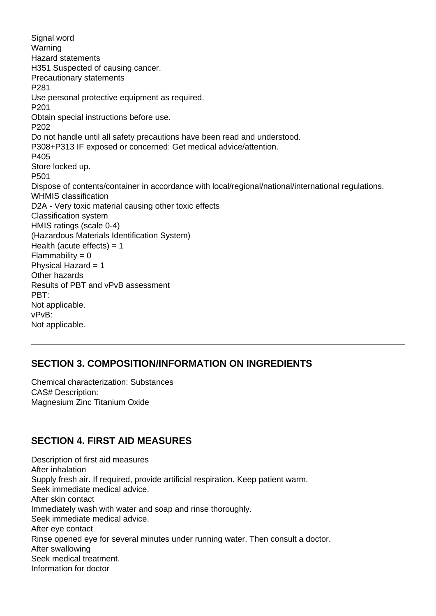Signal word Warning Hazard statements H351 Suspected of causing cancer. Precautionary statements P281 Use personal protective equipment as required. P201 Obtain special instructions before use. P202 Do not handle until all safety precautions have been read and understood. P308+P313 IF exposed or concerned: Get medical advice/attention. P405 Store locked up. P501 Dispose of contents/container in accordance with local/regional/national/international regulations. WHMIS classification D2A - Very toxic material causing other toxic effects Classification system HMIS ratings (scale 0-4) (Hazardous Materials Identification System) Health (acute effects)  $= 1$  $Flammability = 0$ Physical Hazard  $= 1$ Other hazards Results of PBT and vPvB assessment PBT: Not applicable. vPvB: Not applicable.

### **SECTION 3. COMPOSITION/INFORMATION ON INGREDIENTS**

Chemical characterization: Substances CAS# Description: Magnesium Zinc Titanium Oxide

### **SECTION 4. FIRST AID MEASURES**

Description of first aid measures After inhalation Supply fresh air. If required, provide artificial respiration. Keep patient warm. Seek immediate medical advice. After skin contact Immediately wash with water and soap and rinse thoroughly. Seek immediate medical advice. After eye contact Rinse opened eye for several minutes under running water. Then consult a doctor. After swallowing Seek medical treatment. Information for doctor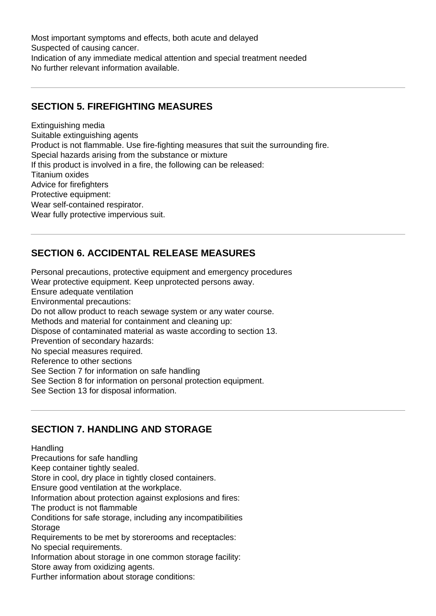Most important symptoms and effects, both acute and delayed Suspected of causing cancer. Indication of any immediate medical attention and special treatment needed No further relevant information available.

### **SECTION 5. FIREFIGHTING MEASURES**

Extinguishing media Suitable extinguishing agents Product is not flammable. Use fire-fighting measures that suit the surrounding fire. Special hazards arising from the substance or mixture If this product is involved in a fire, the following can be released: Titanium oxides Advice for firefighters Protective equipment: Wear self-contained respirator. Wear fully protective impervious suit.

### **SECTION 6. ACCIDENTAL RELEASE MEASURES**

Personal precautions, protective equipment and emergency procedures Wear protective equipment. Keep unprotected persons away. Ensure adequate ventilation Environmental precautions: Do not allow product to reach sewage system or any water course. Methods and material for containment and cleaning up: Dispose of contaminated material as waste according to section 13. Prevention of secondary hazards: No special measures required. Reference to other sections See Section 7 for information on safe handling See Section 8 for information on personal protection equipment. See Section 13 for disposal information.

### **SECTION 7. HANDLING AND STORAGE**

**Handling** 

Precautions for safe handling

Keep container tightly sealed.

Store in cool, dry place in tightly closed containers.

Ensure good ventilation at the workplace.

Information about protection against explosions and fires:

The product is not flammable

Conditions for safe storage, including any incompatibilities **Storage** 

Requirements to be met by storerooms and receptacles:

No special requirements.

Information about storage in one common storage facility: Store away from oxidizing agents.

Further information about storage conditions: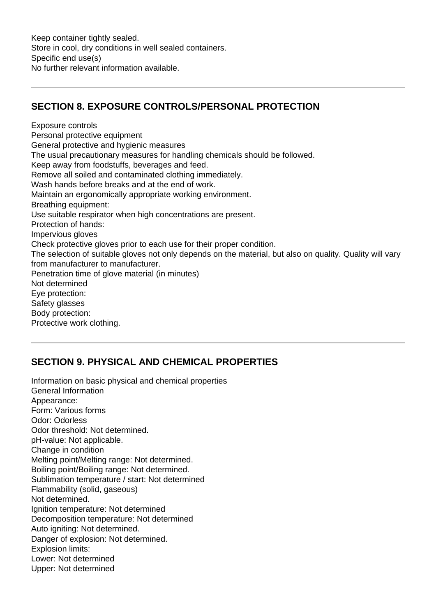## **SECTION 8. EXPOSURE CONTROLS/PERSONAL PROTECTION**

Exposure controls Personal protective equipment General protective and hygienic measures The usual precautionary measures for handling chemicals should be followed. Keep away from foodstuffs, beverages and feed. Remove all soiled and contaminated clothing immediately. Wash hands before breaks and at the end of work. Maintain an ergonomically appropriate working environment. Breathing equipment: Use suitable respirator when high concentrations are present. Protection of hands: Impervious gloves Check protective gloves prior to each use for their proper condition. The selection of suitable gloves not only depends on the material, but also on quality. Quality will vary from manufacturer to manufacturer. Penetration time of glove material (in minutes) Not determined Eye protection: Safety glasses Body protection: Protective work clothing.

### **SECTION 9. PHYSICAL AND CHEMICAL PROPERTIES**

Information on basic physical and chemical properties General Information Appearance: Form: Various forms Odor: Odorless Odor threshold: Not determined. pH-value: Not applicable. Change in condition Melting point/Melting range: Not determined. Boiling point/Boiling range: Not determined. Sublimation temperature / start: Not determined Flammability (solid, gaseous) Not determined. Ignition temperature: Not determined Decomposition temperature: Not determined Auto igniting: Not determined. Danger of explosion: Not determined. Explosion limits: Lower: Not determined Upper: Not determined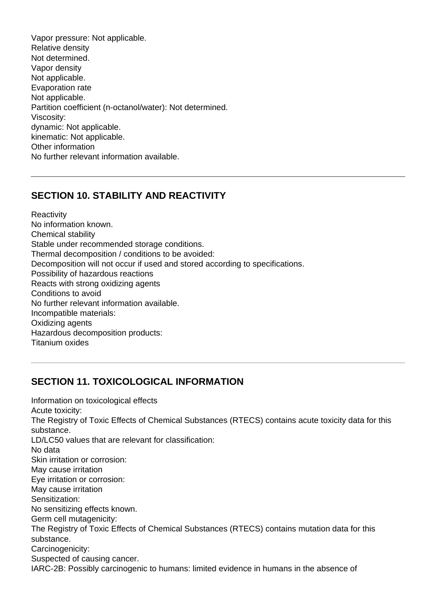Vapor pressure: Not applicable. Relative density Not determined. Vapor density Not applicable. Evaporation rate Not applicable. Partition coefficient (n-octanol/water): Not determined. Viscosity: dynamic: Not applicable. kinematic: Not applicable. Other information No further relevant information available.

### **SECTION 10. STABILITY AND REACTIVITY**

**Reactivity** No information known. Chemical stability Stable under recommended storage conditions. Thermal decomposition / conditions to be avoided: Decomposition will not occur if used and stored according to specifications. Possibility of hazardous reactions Reacts with strong oxidizing agents Conditions to avoid No further relevant information available. Incompatible materials: Oxidizing agents Hazardous decomposition products: Titanium oxides

### **SECTION 11. TOXICOLOGICAL INFORMATION**

Information on toxicological effects Acute toxicity: The Registry of Toxic Effects of Chemical Substances (RTECS) contains acute toxicity data for this substance. LD/LC50 values that are relevant for classification: No data Skin irritation or corrosion: May cause irritation Eye irritation or corrosion: May cause irritation Sensitization: No sensitizing effects known. Germ cell mutagenicity: The Registry of Toxic Effects of Chemical Substances (RTECS) contains mutation data for this substance. Carcinogenicity: Suspected of causing cancer. IARC-2B: Possibly carcinogenic to humans: limited evidence in humans in the absence of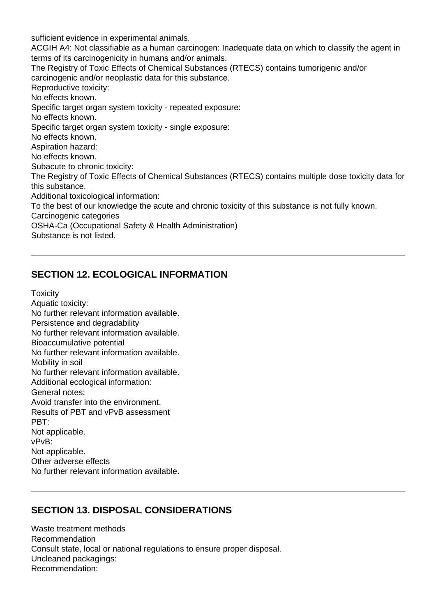sufficient evidence in experimental animals. ACGIH A4: Not classifiable as a human carcinogen: Inadequate data on which to classify the agent in terms of its carcinogenicity in humans and/or animals. The Registry of Toxic Effects of Chemical Substances (RTECS) contains tumorigenic and/or carcinogenic and/or neoplastic data for this substance. Reproductive toxicity: No effects known. Specific target organ system toxicity - repeated exposure: No effects known. Specific target organ system toxicity - single exposure: No effects known. Aspiration hazard: No effects known. Subacute to chronic toxicity: The Registry of Toxic Effects of Chemical Substances (RTECS) contains multiple dose toxicity data for this substance. Additional toxicological information: To the best of our knowledge the acute and chronic toxicity of this substance is not fully known. Carcinogenic categories OSHA-Ca (Occupational Safety & Health Administration) Substance is not listed.

### **SECTION 12. ECOLOGICAL INFORMATION**

**Toxicity** Aquatic toxicity: No further relevant information available. Persistence and degradability No further relevant information available. Bioaccumulative potential No further relevant information available. Mobility in soil No further relevant information available. Additional ecological information: General notes: Avoid transfer into the environment. Results of PBT and vPvB assessment PBT: Not applicable. vPvB: Not applicable. Other adverse effects No further relevant information available.

### **SECTION 13. DISPOSAL CONSIDERATIONS**

Waste treatment methods Recommendation Consult state, local or national regulations to ensure proper disposal. Uncleaned packagings: Recommendation: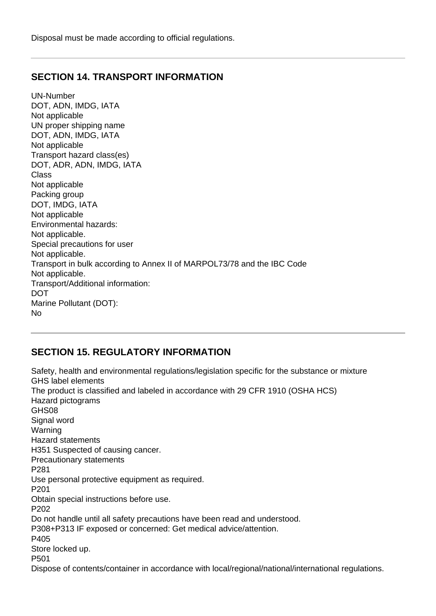Disposal must be made according to official regulations.

#### **SECTION 14. TRANSPORT INFORMATION**

UN-Number DOT, ADN, IMDG, IATA Not applicable UN proper shipping name DOT, ADN, IMDG, IATA Not applicable Transport hazard class(es) DOT, ADR, ADN, IMDG, IATA Class Not applicable Packing group DOT, IMDG, IATA Not applicable Environmental hazards: Not applicable. Special precautions for user Not applicable. Transport in bulk according to Annex II of MARPOL73/78 and the IBC Code Not applicable. Transport/Additional information: **DOT** Marine Pollutant (DOT): No

### **SECTION 15. REGULATORY INFORMATION**

Safety, health and environmental regulations/legislation specific for the substance or mixture GHS label elements The product is classified and labeled in accordance with 29 CFR 1910 (OSHA HCS) Hazard pictograms GHS08 Signal word Warning Hazard statements H351 Suspected of causing cancer. Precautionary statements P281 Use personal protective equipment as required. P201 Obtain special instructions before use. P202 Do not handle until all safety precautions have been read and understood. P308+P313 IF exposed or concerned: Get medical advice/attention. P405 Store locked up. P501 Dispose of contents/container in accordance with local/regional/national/international regulations.